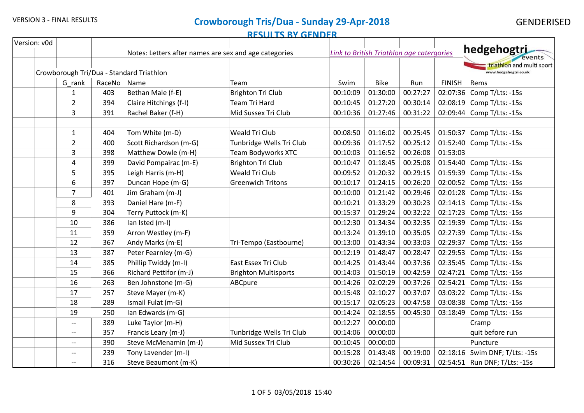| Version: v0d |                |        |                                                       |                             |          |                                           |          |               |                                 |
|--------------|----------------|--------|-------------------------------------------------------|-----------------------------|----------|-------------------------------------------|----------|---------------|---------------------------------|
|              |                |        | Notes: Letters after names are sex and age categories |                             |          | Link to British Triathlon age catergories |          |               | hedgehogtri<br>events           |
|              |                |        |                                                       |                             |          |                                           |          |               | triathlon and multi sport       |
|              |                |        | Crowborough Tri/Dua - Standard Triathlon              |                             |          |                                           |          |               | www.hedgehogtri.co.uk           |
|              | G rank         | RaceNo | Name                                                  | Team                        | Swim     | <b>Bike</b>                               | Run      | <b>FINISH</b> | Rems                            |
|              | $\mathbf{1}$   | 403    | Bethan Male (f-E)                                     | <b>Brighton Tri Club</b>    | 00:10:09 | 01:30:00                                  | 00:27:27 | 02:07:36      | Comp T/Lts: -15s                |
|              | $\overline{2}$ | 394    | Claire Hitchings (f-I)                                | <b>Team Tri Hard</b>        | 00:10:45 | 01:27:20                                  | 00:30:14 | 02:08:19      | Comp T/Lts: -15s                |
|              | 3              | 391    | Rachel Baker (f-H)                                    | Mid Sussex Tri Club         | 00:10:36 | 01:27:46                                  | 00:31:22 | 02:09:44      | Comp T/Lts: -15s                |
|              |                |        |                                                       |                             |          |                                           |          |               |                                 |
|              | $\mathbf{1}$   | 404    | Tom White (m-D)                                       | Weald Tri Club              | 00:08:50 | 01:16:02                                  | 00:25:45 | 01:50:37      | Comp T/Lts: -15s                |
|              | $\overline{2}$ | 400    | Scott Richardson (m-G)                                | Tunbridge Wells Tri Club    | 00:09:36 | 01:17:52                                  | 00:25:12 | 01:52:40      | Comp T/Lts: -15s                |
|              | 3              | 398    | Matthew Dowle (m-H)                                   | <b>Team Bodyworks XTC</b>   | 00:10:03 | 01:16:52                                  | 00:26:08 | 01:53:03      |                                 |
|              | 4              | 399    | David Pompairac (m-E)                                 | <b>Brighton Tri Club</b>    | 00:10:47 | 01:18:45                                  | 00:25:08 | 01:54:40      | Comp T/Lts: -15s                |
|              | 5              | 395    | Leigh Harris (m-H)                                    | Weald Tri Club              | 00:09:52 | 01:20:32                                  | 00:29:15 | 01:59:39      | Comp T/Lts: -15s                |
|              | 6              | 397    | Duncan Hope (m-G)                                     | <b>Greenwich Tritons</b>    | 00:10:17 | 01:24:15                                  | 00:26:20 | 02:00:52      | Comp T/Lts: -15s                |
|              | $\overline{7}$ | 401    | Jim Graham (m-J)                                      |                             | 00:10:00 | 01:21:42                                  | 00:29:46 |               | 02:01:28 Comp T/Lts: -15s       |
|              | 8              | 393    | Daniel Hare (m-F)                                     |                             | 00:10:21 | 01:33:29                                  | 00:30:23 | 02:14:13      | Comp T/Lts: -15s                |
|              | 9              | 304    | Terry Puttock (m-K)                                   |                             | 00:15:37 | 01:29:24                                  | 00:32:22 | 02:17:23      | Comp T/Lts: -15s                |
|              | 10             | 386    | lan Isted (m-I)                                       |                             | 00:12:30 | 01:34:34                                  | 00:32:35 | 02:19:39      | Comp T/Lts: -15s                |
|              | 11             | 359    | Arron Westley (m-F)                                   |                             | 00:13:24 | 01:39:10                                  | 00:35:05 | 02:27:39      | Comp T/Lts: -15s                |
|              | 12             | 367    | Andy Marks (m-E)                                      | Tri-Tempo (Eastbourne)      | 00:13:00 | 01:43:34                                  | 00:33:03 | 02:29:37      | Comp T/Lts: -15s                |
|              | 13             | 387    | Peter Fearnley (m-G)                                  |                             | 00:12:19 | 01:48:47                                  | 00:28:47 | 02:29:53      | Comp T/Lts: -15s                |
|              | 14             | 385    | Phillip Twiddy (m-I)                                  | East Essex Tri Club         | 00:14:25 | 01:43:44                                  | 00:37:36 | 02:35:45      | Comp T/Lts: -15s                |
|              | 15             | 366    | Richard Pettifor (m-J)                                | <b>Brighton Multisports</b> | 00:14:03 | 01:50:19                                  | 00:42:59 | 02:47:21      | Comp T/Lts: -15s                |
|              | 16             | 263    | Ben Johnstone (m-G)                                   | ABCpure                     | 00:14:26 | 02:02:29                                  | 00:37:26 | 02:54:21      | Comp T/Lts: -15s                |
|              | 17             | 257    | Steve Mayer (m-K)                                     |                             | 00:15:48 | 02:10:27                                  | 00:37:07 | 03:03:22      | Comp T/Lts: -15s                |
|              | 18             | 289    | Ismail Fulat (m-G)                                    |                             | 00:15:17 | 02:05:23                                  | 00:47:58 | 03:08:38      | Comp T/Lts: -15s                |
|              | 19             | 250    | Ian Edwards (m-G)                                     |                             | 00:14:24 | 02:18:55                                  | 00:45:30 | 03:18:49      | Comp T/Lts: -15s                |
|              | $- -$          | 389    | Luke Taylor (m-H)                                     |                             | 00:12:27 | 00:00:00                                  |          |               | Cramp                           |
|              | $-$            | 357    | Francis Leary (m-J)                                   | Tunbridge Wells Tri Club    | 00:14:06 | 00:00:00                                  |          |               | quit before run                 |
|              | $- -$          | 390    | Steve McMenamin (m-J)                                 | Mid Sussex Tri Club         | 00:10:45 | 00:00:00                                  |          |               | Puncture                        |
|              | $- -$          | 239    | Tony Lavender (m-I)                                   |                             | 00:15:28 | 01:43:48                                  | 00:19:00 |               | 02:18:16 Swim DNF; T/Lts: -15s  |
|              | $- -$          | 316    | Steve Beaumont (m-K)                                  |                             | 00:30:26 | 02:14:54                                  | 00:09:31 |               | 02:54:51   Run DNF; T/Lts: -15s |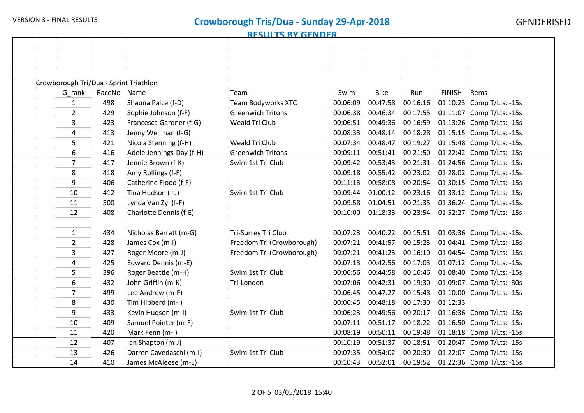|  | Crowborough Tri/Dua - Sprint Triathlon |        |                          |                           |          |             |          |               |                           |
|--|----------------------------------------|--------|--------------------------|---------------------------|----------|-------------|----------|---------------|---------------------------|
|  | G_rank                                 | RaceNo | Name                     | Team                      | Swim     | <b>Bike</b> | Run      | <b>FINISH</b> | Rems                      |
|  | $\mathbf{1}$                           | 498    | Shauna Paice (f-D)       | Team Bodyworks XTC        | 00:06:09 | 00:47:58    | 00:16:16 | 01:10:23      | Comp T/Lts: -15s          |
|  | $\overline{2}$                         | 429    | Sophie Johnson (f-F)     | <b>Greenwich Tritons</b>  | 00:06:38 | 00:46:34    | 00:17:55 | 01:11:07      | Comp T/Lts: -15s          |
|  | 3                                      | 423    | Francesca Gardner (f-G)  | <b>Weald Tri Club</b>     | 00:06:51 | 00:49:36    | 00:16:59 | 01:13:26      | Comp T/Lts: -15s          |
|  | 4                                      | 413    | Jenny Wellman (f-G)      |                           | 00:08:33 | 00:48:14    | 00:18:28 | 01:15:15      | Comp T/Lts: -15s          |
|  | 5                                      | 421    | Nicola Stenning (f-H)    | <b>Weald Tri Club</b>     | 00:07:34 | 00:48:47    | 00:19:27 | 01:15:48      | Comp T/Lts: -15s          |
|  | 6                                      | 416    | Adele Jennings-Day (f-H) | <b>Greenwich Tritons</b>  | 00:09:11 | 00:51:41    | 00:21:50 | 01:22:42      | Comp T/Lts: -15s          |
|  | 7                                      | 417    | Jennie Brown (f-K)       | Swim 1st Tri Club         | 00:09:42 | 00:53:43    | 00:21:31 | 01:24:56      | Comp T/Lts: -15s          |
|  | 8                                      | 418    | Amy Rollings (f-F)       |                           | 00:09:18 | 00:55:42    | 00:23:02 | 01:28:02      | Comp T/Lts: -15s          |
|  | 9                                      | 406    | Catherine Flood (f-F)    |                           | 00:11:13 | 00:58:08    | 00:20:54 | 01:30:15      | Comp T/Lts: -15s          |
|  | 10                                     | 412    | Tina Hudson (f-J)        | Swim 1st Tri Club         | 00:09:44 | 01:00:12    | 00:23:16 | 01:33:12      | Comp T/Lts: -15s          |
|  | 11                                     | 500    | Lynda Van Zyl (f-F)      |                           | 00:09:58 | 01:04:51    | 00:21:35 | 01:36:24      | Comp T/Lts: -15s          |
|  | 12                                     | 408    | Charlotte Dennis (f-E)   |                           | 00:10:00 | 01:18:33    | 00:23:54 | 01:52:27      | Comp T/Lts: -15s          |
|  |                                        |        |                          |                           |          |             |          |               |                           |
|  | $\mathbf{1}$                           | 434    | Nicholas Barratt (m-G)   | Tri-Surrey Tri Club       | 00:07:23 | 00:40:22    | 00:15:51 |               | 01:03:36 Comp T/Lts: -15s |
|  | $\overline{2}$                         | 428    | James Cox (m-I)          | Freedom Tri (Crowborough) | 00:07:21 | 00:41:57    | 00:15:23 | 01:04:41      | Comp T/Lts: -15s          |
|  | 3                                      | 427    | Roger Moore (m-J)        | Freedom Tri (Crowborough) | 00:07:21 | 00:41:23    | 00:16:10 | 01:04:54      | Comp T/Lts: -15s          |
|  | 4                                      | 425    | Edward Dennis (m-E)      |                           | 00:07:13 | 00:42:56    | 00:17:03 |               | 01:07:12 Comp T/Lts: -15s |
|  | 5                                      | 396    | Roger Beattie (m-H)      | Swim 1st Tri Club         | 00:06:56 | 00:44:58    | 00:16:46 |               | 01:08:40 Comp T/Lts: -15s |
|  | 6                                      | 432    | John Griffin (m-K)       | Tri-London                | 00:07:06 | 00:42:31    | 00:19:30 | 01:09:07      | Comp T/Lts: -30s          |
|  | 7                                      | 499    | Lee Andrew (m-F)         |                           | 00:06:45 | 00:47:27    | 00:15:48 |               | 01:10:00 Comp T/Lts: -15s |
|  | 8                                      | 430    | Tim Hibberd (m-I)        |                           | 00:06:45 | 00:48:18    | 00:17:30 | 01:12:33      |                           |
|  | 9                                      | 433    | Kevin Hudson (m-I)       | Swim 1st Tri Club         | 00:06:23 | 00:49:56    | 00:20:17 |               | 01:16:36 Comp T/Lts: -15s |
|  | 10                                     | 409    | Samuel Pointer (m-F)     |                           | 00:07:11 | 00:51:17    | 00:18:22 | 01:16:50      | Comp T/Lts: -15s          |
|  | 11                                     | 420    | Mark Fenn (m-I)          |                           | 00:08:19 | 00:50:11    | 00:19:48 |               | 01:18:18 Comp T/Lts: -15s |
|  | 12                                     | 407    | Ian Shapton (m-J)        |                           | 00:10:19 | 00:51:37    | 00:18:51 | 01:20:47      | Comp T/Lts: -15s          |
|  | 13                                     | 426    | Darren Cavedaschi (m-I)  | Swim 1st Tri Club         | 00:07:35 | 00:54:02    | 00:20:30 | 01:22:07      | Comp T/Lts: -15s          |
|  | 14                                     | 410    | James McAleese (m-E)     |                           | 00:10:43 | 00:52:01    | 00:19:52 |               | 01:22:36 Comp T/Lts: -15s |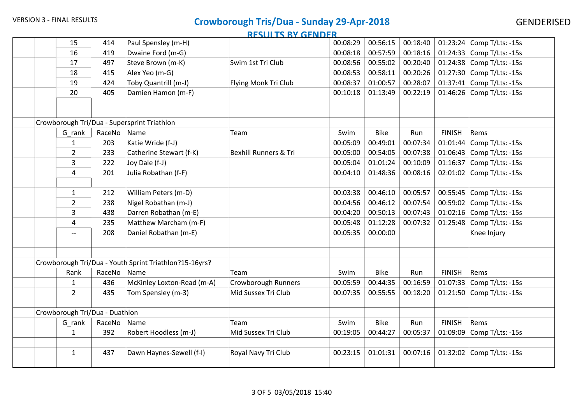|                                | 15                       | 414    | Paul Spensley (m-H)                                    |                                  | 00:08:29 | 00:56:15    | 00:18:40 |               | 01:23:24 Comp T/Lts: -15s |
|--------------------------------|--------------------------|--------|--------------------------------------------------------|----------------------------------|----------|-------------|----------|---------------|---------------------------|
|                                | 16                       | 419    | Dwaine Ford (m-G)                                      |                                  | 00:08:18 | 00:57:59    | 00:18:16 | 01:24:33      | Comp T/Lts: -15s          |
|                                | 17                       | 497    | Steve Brown (m-K)                                      | Swim 1st Tri Club                | 00:08:56 | 00:55:02    | 00:20:40 |               | 01:24:38 Comp T/Lts: -15s |
|                                | 18                       | 415    | Alex Yeo (m-G)                                         |                                  | 00:08:53 | 00:58:11    | 00:20:26 | 01:27:30      | Comp T/Lts: -15s          |
|                                | 19                       | 424    | Toby Quantrill (m-J)                                   | Flying Monk Tri Club             | 00:08:37 | 01:00:57    | 00:28:07 | 01:37:41      | Comp T/Lts: -15s          |
|                                | 20                       | 405    | Damien Hamon (m-F)                                     |                                  | 00:10:18 | 01:13:49    | 00:22:19 | 01:46:26      | Comp T/Lts: -15s          |
|                                |                          |        |                                                        |                                  |          |             |          |               |                           |
|                                |                          |        |                                                        |                                  |          |             |          |               |                           |
|                                |                          |        | Crowborough Tri/Dua - Supersprint Triathlon            |                                  |          |             |          |               |                           |
|                                | G_rank                   | RaceNo | Name                                                   | <b>Team</b>                      | Swim     | <b>Bike</b> | Run      | <b>FINISH</b> | Rems                      |
|                                | $\mathbf{1}$             | 203    | Katie Wride (f-J)                                      |                                  | 00:05:09 | 00:49:01    | 00:07:34 | 01:01:44      | Comp T/Lts: -15s          |
|                                | $\overline{2}$           | 233    | Catherine Stewart (f-K)                                | <b>Bexhill Runners &amp; Tri</b> | 00:05:00 | 00:54:05    | 00:07:38 | 01:06:43      | Comp T/Lts: -15s          |
|                                | 3                        | 222    | Joy Dale (f-J)                                         |                                  | 00:05:04 | 01:01:24    | 00:10:09 | 01:16:37      | Comp T/Lts: -15s          |
|                                | 4                        | 201    | Julia Robathan (f-F)                                   |                                  | 00:04:10 | 01:48:36    | 00:08:16 | 02:01:02      | Comp T/Lts: -15s          |
|                                |                          |        |                                                        |                                  |          |             |          |               |                           |
|                                | $\mathbf{1}$             | 212    | William Peters (m-D)                                   |                                  | 00:03:38 | 00:46:10    | 00:05:57 | 00:55:45      | Comp T/Lts: -15s          |
|                                | $\overline{2}$           | 238    | Nigel Robathan (m-J)                                   |                                  | 00:04:56 | 00:46:12    | 00:07:54 | 00:59:02      | Comp T/Lts: -15s          |
|                                | 3                        | 438    | Darren Robathan (m-E)                                  |                                  | 00:04:20 | 00:50:13    | 00:07:43 |               | 01:02:16 Comp T/Lts: -15s |
|                                | 4                        | 235    | Matthew Marcham (m-F)                                  |                                  | 00:05:48 | 01:12:28    | 00:07:32 |               | 01:25:48 Comp T/Lts: -15s |
|                                | $\overline{\phantom{a}}$ | 208    | Daniel Robathan (m-E)                                  |                                  | 00:05:35 | 00:00:00    |          |               | Knee Injury               |
|                                |                          |        |                                                        |                                  |          |             |          |               |                           |
|                                |                          |        |                                                        |                                  |          |             |          |               |                           |
|                                |                          |        | Crowborough Tri/Dua - Youth Sprint Triathlon?15-16yrs? |                                  |          |             |          |               |                           |
|                                | Rank                     | RaceNo | Name                                                   | Team                             | Swim     | <b>Bike</b> | Run      | <b>FINISH</b> | Rems                      |
|                                | $\mathbf{1}$             | 436    | McKinley Loxton-Read (m-A)                             | <b>Crowborough Runners</b>       | 00:05:59 | 00:44:35    | 00:16:59 | 01:07:33      | Comp T/Lts: -15s          |
|                                | $\overline{2}$           | 435    | Tom Spensley (m-3)                                     | Mid Sussex Tri Club              | 00:07:35 | 00:55:55    | 00:18:20 | 01:21:50      | Comp T/Lts: -15s          |
|                                |                          |        |                                                        |                                  |          |             |          |               |                           |
| Crowborough Tri/Dua - Duathlon |                          |        |                                                        |                                  |          |             |          |               |                           |
|                                | G_rank                   | RaceNo | Name                                                   | Team                             | Swim     | <b>Bike</b> | Run      | <b>FINISH</b> | Rems                      |
|                                | $\mathbf{1}$             | 392    | Robert Hoodless (m-J)                                  | Mid Sussex Tri Club              | 00:19:05 | 00:44:27    | 00:05:37 | 01:09:09      | Comp T/Lts: -15s          |
|                                |                          |        |                                                        |                                  |          |             |          |               |                           |
|                                | $\mathbf{1}$             | 437    | Dawn Haynes-Sewell (f-I)                               | Royal Navy Tri Club              | 00:23:15 | 01:01:31    | 00:07:16 | 01:32:02      | Comp T/Lts: -15s          |
|                                |                          |        |                                                        |                                  |          |             |          |               |                           |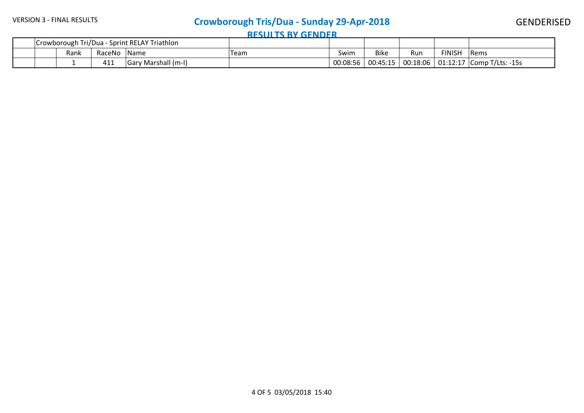#### GENDERISED

| Tri/Dua - Sprint RELAY Triathlon<br>Crowborough Tri |      |        | -------------------- |      |          |             |          |               |                           |
|-----------------------------------------------------|------|--------|----------------------|------|----------|-------------|----------|---------------|---------------------------|
|                                                     | Rank | RaceNo | Name                 | Team | Swim     | <b>Bike</b> | Run      | <b>FINISH</b> | <b>Rems</b>               |
|                                                     |      | 411    | Gary Marshall (m-I)  |      | 00:08:56 | 00:45:15    | 00:18:06 |               | 01:12:17 Comp T/Lts: -15s |